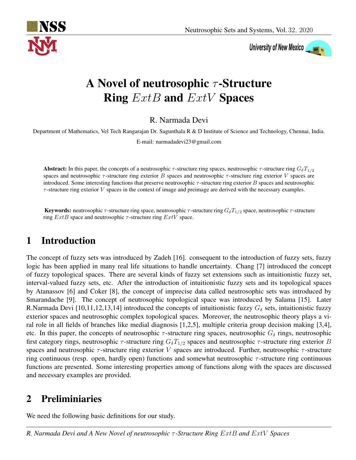

University of New Mexico

# A Novel of neutrosophic  $\tau$ -Structure Ring  $ExtB$  and  $ExtV$  Spaces

R. Narmada Devi

Department of Mathematics, Vel Tech Rangarajan Dr. Sagunthala R & D Institute of Science and Technology, Chennai, India.

E-mail: narmadadevi23@gmail.com

Abstract: In this paper, the concepts of a neutrosophic  $\tau$ -structure ring spaces, neutrosophic  $\tau$ -structure ring  $G_{\delta}T_{1/2}$ spaces and neutrosophic  $\tau$ -structure ring exterior B spaces and neutrosophic  $\tau$ -structure ring exterior V spaces are introduced. Some interesting functions that preserve neutrosophic  $\tau$ -structure ring exterior  $B$  spaces and neutrosophic  $\tau$ -structure ring exterior V spaces in the context of image and preimage are derived with the necessary examples.

Keywords: neutrosophic  $\tau$ -structure ring space, neutrosophic  $\tau$ -structure ring  $G_{\delta}T_{1/2}$  space, neutrosophic  $\tau$ -structure ring  $ExtB$  space and neutrosophic  $\tau$ -structure ring  $ExtV$  space.

# 1 Introduction

The concept of fuzzy sets was introduced by Zadeh [16]. consequent to the introduction of fuzzy sets, fuzzy logic has been applied in many real life situations to handle uncertainty. Chang [7] introduced the concept of fuzzy topological spaces. There are several kinds of fuzzy set extensions such as intuitionistic fuzzy set, interval-valued fuzzy sets, etc. After the introduction of intuitionistic fuzzy sets and its topological spaces by Atanassov [6] and Coker [8], the concept of imprecise data called neutrosophic sets was introduced by Smarandache [9]. The concept of neutrosophic topological space was introduced by Salama [15]. Later R.Narmada Devi [10,11,12,13,14] introduced the concepts of intuitionistic fuzzy  $G_{\delta}$  sets, intuitionistic fuzzy exterior spaces and neutrosophic complex topological spaces. Moreover, the neutrosophic theory plays a viral role in all fields of branches like medial diagnosis [1,2,5], multiple criteria group decision making [3,4], etc. In this paper, the concepts of neutrosophic  $\tau$ -structure ring spaces, neutrosophic  $G_{\delta}$  rings, neutrosophic first category rings, neutrosophic  $\tau$ -structure ring  $G_{\delta}T_{1/2}$  spaces and neutrosophic  $\tau$ -structure ring exterior B spaces and neutrosophic  $\tau$ -structure ring exterior V spaces are introduced. Further, neutrosophic  $\tau$ -structure ring continuous (resp. open, hardly open) functions and somewhat neutrosophic  $\tau$ -structure ring continuous functions are presented. Some interesting properties among of functions along with the spaces are discussed and necessary examples are provided.

## 2 Preliminiaries

We need the following basic definitions for our study.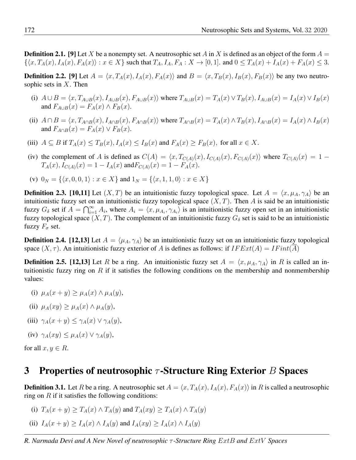**Definition 2.1.** [9] Let X be a nonempty set. A neutrosophic set A in X is defined as an object of the form  $A =$  $\{\langle x, T_A(x), I_A(x), F_A(x)\rangle : x \in X\}$  such that  $T_A, I_A, F_A: X \to [0, 1]$ . and  $0 \le T_A(x) + T_A(x) + T_A(x) \le 3$ .

**Definition 2.2.** [9] Let  $A = \langle x, T_A(x), I_A(x), F_A(x) \rangle$  and  $B = \langle x, T_B(x), I_B(x), F_B(x) \rangle$  be any two neutrosophic sets in  $X$ . Then

- (i)  $A \cup B = \langle x, T_{A \cup B}(x), I_{A \cup B}(x), F_{A \cup B}(x) \rangle$  where  $T_{A \cup B}(x) = T_A(x) \vee T_B(x)$ ,  $I_{A \cup B}(x) = I_A(x) \vee I_B(x)$ and  $F_{A\cup B}(x) = F_A(x) \wedge F_B(x)$ .
- (ii)  $A \cap B = \langle x, T_{A \cap B}(x), I_{A \cap B}(x), F_{A \cap B}(x) \rangle$  where  $T_{A \cap B}(x) = T_A(x) \wedge T_B(x)$ ,  $I_{A \cap B}(x) = I_A(x) \wedge I_B(x)$ and  $F_{A\cap B}(x) = F_A(x) \vee F_B(x)$ .
- (iii)  $A \subseteq B$  if  $T_A(x) \leq T_B(x)$ ,  $I_A(x) \leq I_B(x)$  and  $F_A(x) \geq F_B(x)$ , for all  $x \in X$ .
- (iv) the complement of A is defined as  $C(A) = \langle x, T_{C(A)}(x), I_{C(A)}(x), F_{C(A)}(x) \rangle$  where  $T_{C(A)}(x) = 1 T_A(x)$ ,  $I_{C(A)}(x) = 1 - I_A(x)$  and  $F_{C(A)}(x) = 1 - F_A(x)$ .
- (v)  $0_N = \{ \langle x, 0, 0, 1 \rangle : x \in X \}$  and  $1_N = \{ \langle x, 1, 1, 0 \rangle : x \in X \}$

**Definition 2.3.** [10,11] Let  $(X, T)$  be an intuitionistic fuzzy topological space. Let  $A = \langle x, \mu_A, \gamma_A \rangle$  be an intuitionistic fuzzy set on an intuitionistic fuzzy topological space  $(X, T)$ . Then A is said be an intuitionistic fuzzy  $G_{\delta}$  set if  $A = \bigcap_{i=1}^{\infty} A_i$ , where  $A_i = \langle x, \mu_{A_i}, \gamma_{A_i} \rangle$  is an intuitionistic fuzzy open set in an intuitionistic fuzzy topological space  $(X, T)$ . The complement of an intuitionistic fuzzy  $G_{\delta}$  set is said to be an intuitionistic fuzzy  $F_{\sigma}$  set.

**Definition 2.4.** [12,13] Let  $A = \langle \mu_A, \gamma_A \rangle$  be an intuitionistic fuzzy set on an intuitionistic fuzzy topological space  $(X, \tau)$ . An intuitionistic fuzzy exterior of A is defines as follows: if  $IFExt(A) = IFint(\overline{A})$ 

**Definition 2.5.** [12,13] Let R be a ring. An intuitionistic fuzzy set  $A = \langle x, \mu_A, \gamma_A \rangle$  in R is called an intuitionistic fuzzy ring on R if it satisfies the following conditions on the membership and nonmembership values:

- (i)  $\mu_A(x+y) > \mu_A(x) \wedge \mu_A(y)$ ,
- (ii)  $\mu_A(xy) \geq \mu_A(x) \wedge \mu_A(y)$ ,
- (iii)  $\gamma_A(x+y) \leq \gamma_A(x) \vee \gamma_A(y)$ ,
- (iv)  $\gamma_A(xy) \leq \mu_A(x) \vee \gamma_A(y)$ ,

for all  $x, y \in R$ .

### 3 Properties of neutrosophic  $\tau$ -Structure Ring Exterior B Spaces

**Definition 3.1.** Let R be a ring. A neutrosophic set  $A = \langle x, T_A(x), I_A(x), F_A(x) \rangle$  in R is called a neutrosophic ring on  $R$  if it satisfies the following conditions:

- (i)  $T_A(x + y) > T_A(x) \wedge T_A(y)$  and  $T_A(xy) \ge T_A(x) \wedge T_A(y)$
- (ii)  $I_A(x+y) \geq I_A(x) \wedge I_A(y)$  and  $I_A(xy) \geq I_A(x) \wedge I_A(y)$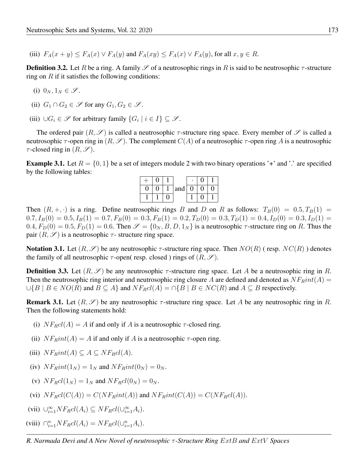(iii)  $F_A(x+y) \le F_A(x) \vee F_A(y)$  and  $F_A(xy) \le F_A(x) \vee F_A(y)$ , for all  $x, y \in R$ .

**Definition 3.2.** Let R be a ring. A family  $\mathscr S$  of a neutrosophic rings in R is said to be neutrosophic  $\tau$ -structure ring on  $R$  if it satisfies the following conditions:

- (i)  $0_N, 1_N \in \mathscr{S}$ .
- (ii)  $G_1 \cap G_2 \in \mathscr{S}$  for any  $G_1, G_2 \in \mathscr{S}$ .
- (iii)  $\bigcup G_i \in \mathscr{S}$  for arbitrary family  $\{G_i \mid i \in I\} \subseteq \mathscr{S}$ .

The ordered pair  $(R, \mathscr{S})$  is called a neutrosophic  $\tau$ -structure ring space. Every member of  $\mathscr{S}$  is called a neutrosophic  $\tau$ -open ring in  $(R, \mathscr{S})$ . The complement  $C(A)$  of a neutrosophic  $\tau$ -open ring A is a neutrosophic  $\tau$ -closed ring in  $(R, \mathscr{S})$ .

**Example 3.1.** Let  $R = \{0, 1\}$  be a set of integers module 2 with two binary operations '+' and '.' are specified by the following tables:

| IJ |  | and | 0 |  |
|----|--|-----|---|--|
|    |  |     |   |  |

Then  $(R, +, \cdot)$  is a ring. Define neutrosophic rings B and D on R as follows:  $T_B(0) = 0.5, T_B(1) = 0.5$  $0.7, I_B(0) = 0.5, I_B(1) = 0.7, F_B(0) = 0.3, F_B(1) = 0.2, T_D(0) = 0.3, T_D(1) = 0.4, I_D(0) = 0.3, I_D(1) = 0.4$  $0.4, F_D(0) = 0.5, F_D(1) = 0.6$ . Then  $\mathscr{S} = \{0_N, B, D, 1_N\}$  is a neutrosophic  $\tau$ -structure ring on R. Thus the pair  $(R, \mathscr{S})$  is a neutrosophic  $\tau$ - structure ring space.

**Notation 3.1.** Let  $(R, \mathscr{S})$  be any neutrosophic  $\tau$ -structure ring space. Then  $NO(R)$  (resp.  $NC(R)$ ) denotes the family of all neutrosophic  $\tau$ -open( resp. closed) rings of  $(R, \mathscr{S})$ .

**Definition 3.3.** Let  $(R, \mathscr{S})$  be any neutrosophic  $\tau$ -structure ring space. Let A be a neutrosophic ring in R. Then the neutrosophic ring interior and neutrosophic ring closure A are defined and denoted as  $NF_Rint(A)$  =  $\bigcup \{B \mid B \in NO(R) \text{ and } B \subseteq A\}$  and  $N F_R cl(A) = \bigcap \{B \mid B \in NC(R) \text{ and } A \subseteq B \text{ respectively.}$ 

**Remark 3.1.** Let  $(R, \mathscr{S})$  be any neutrosophic  $\tau$ -structure ring space. Let A be any neutrosophic ring in R. Then the following statements hold:

- (i)  $N F_R c l(A) = A$  if and only if A is a neutrosophic  $\tau$ -closed ring.
- (ii)  $NF<sub>B</sub>int(A) = A$  if and only if A is a neutrosophic  $\tau$ -open ring.
- (iii)  $NF_Rint(A) \subseteq A \subseteq NF_Rcl(A)$ .
- (iv)  $N F_R int(1_N) = 1_N$  and  $N F_R int(0_N) = 0_N$ .
- (v)  $N F_R c l(1_N) = 1_N$  and  $N F_R c l(0_N) = 0_N$ .
- (vi)  $NF_Rcl(C(A)) = C(NF_Rint(A))$  and  $NF_Rint(C(A)) = C(NF_Rcl(A)).$

(vii) 
$$
\bigcup_{i=1}^{\infty} NF_R cl(A_i) \subseteq NF_R cl(\bigcup_{i=1}^{\infty} A_i).
$$

(viii) 
$$
\bigcap_{i=1}^{n} NF_R cl(A_i) = NF_R cl(\bigcup_{i=1}^{n} A_i).
$$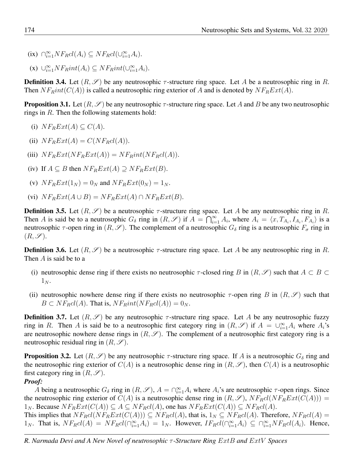- (ix)  $\bigcap_{i=1}^{\infty} NF_R cl(A_i) \subseteq NF_R cl(\bigcup_{i=1}^{\infty} A_i)$ .
- (x)  $\cup_{i=1}^{\infty} NF_Rint(A_i) \subseteq NF_Rint(\cup_{i=1}^{\infty} A_i)$ .

**Definition 3.4.** Let  $(R, \mathscr{S})$  be any neutrosophic  $\tau$ -structure ring space. Let A be a neutrosophic ring in R. Then  $NF_Rint(C(A))$  is called a neutrosophic ring exterior of A and is denoted by  $NF_RExt(A)$ .

**Proposition 3.1.** Let  $(R, \mathscr{S})$  be any neutrosophic  $\tau$ -structure ring space. Let A and B be any two neutrosophic rings in R. Then the following statements hold:

- (i)  $NF_R Ext(A) \subset C(A)$ .
- (ii)  $NF_R Ext(A) = C(NF_R cl(A)).$
- (iii)  $N F_R Ext(N F_R Ext(A)) = N F_R int(N F_R cI(A)).$
- (iv) If  $A \subseteq B$  then  $N F_R Ext(A) \supseteq N F_R Ext(B)$ .
- (v)  $N F_R Ext(1_N) = 0_N$  and  $N F_R Ext(0_N) = 1_N$ .
- (vi)  $N F_R Ext(A \cup B) = N F_R Ext(A) \cap N F_R Ext(B).$

**Definition 3.5.** Let  $(R, \mathscr{S})$  be a neutrosophic  $\tau$ -structure ring space. Let A be any neutrosophic ring in R. Then A is said be to a neutrosophic  $G_{\delta}$  ring in  $(R, \mathscr{S})$  if  $A = \bigcap_{i=1}^{\infty} A_i$ , where  $A_i = \langle x, T_{A_i}, I_{A_i}, F_{A_i} \rangle$  is a neutrosophic  $\tau$ -open ring in  $(R, \mathscr{S})$ . The complement of a neutrosophic  $G_{\delta}$  ring is a neutrosophic  $F_{\sigma}$  ring in  $(R, \mathscr{S}).$ 

**Definition 3.6.** Let  $(R, \mathscr{S})$  be a neutrosophic  $\tau$ -structure ring space. Let A be any neutrosophic ring in R. Then A is said be to a

- (i) neutrosophic dense ring if there exists no neutrosophic  $\tau$ -closed ring B in  $(R, \mathscr{S})$  such that  $A \subset B \subset$  $1_N$ .
- (ii) neutrosophic nowhere dense ring if there exists no neutrosophic  $\tau$ -open ring B in  $(R, \mathscr{S})$  such that  $B \subset NF_Rcl(A)$ . That is,  $NF_Rint(NF_Rcl(A)) = 0_N$ .

**Definition 3.7.** Let  $(R, \mathscr{S})$  be any neutrosophic  $\tau$ -structure ring space. Let A be any neutrosophic fuzzy ring in R. Then A is said be to a neutrosophic first category ring in  $(R, \mathscr{S})$  if  $A = \bigcup_{i=1}^{\infty} A_i$  where  $A_i$ 's are neutrosophic nowhere dense rings in  $(R, \mathscr{S})$ . The complement of a neutrosophic first category ring is a neutrosophic residual ring in  $(R, \mathscr{S})$ .

**Proposition 3.2.** Let  $(R, \mathscr{S})$  be any neutrosophic  $\tau$ -structure ring space. If A is a neutrosophic  $G_{\delta}$  ring and the neutrosophic ring exterior of  $C(A)$  is a neutrosophic dense ring in  $(R, \mathscr{S})$ , then  $C(A)$  is a neutrosophic first category ring in  $(R, \mathscr{S})$ .

#### *Proof:*

A being a neutrosophic  $G_\delta$  ring in  $(R, \mathscr{S})$ ,  $A = \bigcap_{i=1}^{\infty} A_i$  where  $A_i$ 's are neutrosophic  $\tau$ -open rings. Since the neutrosophic ring exterior of  $C(A)$  is a neutrosophic dense ring in  $(R, \mathscr{S})$ ,  $NF_Rcl(NF_RExt(C(A)))$  =  $1_N$ . Because  $NF_RExt(C(A)) \subseteq A \subseteq NF_Rcl(A)$ , one has  $NF_RExt(C(A)) \subseteq NF_Rcl(A)$ .

This implies that  $NF_Rcl(NF_RExt(C(A))) \subseteq NF_Rcl(A)$ , that is,  $1_N \subseteq NF_Rcl(A)$ . Therefore,  $NF_Rcl(A)$  $1_N$ . That is,  $NF_Rcl(A) = NF_Rcl(\bigcap_{i=1}^{\infty} A_i) = 1_N$ . However,  $IF_Rcl(\bigcap_{i=1}^{\infty} A_i) \subseteq \bigcap_{i=1}^{\infty} NF_Rcl(A_i)$ . Hence,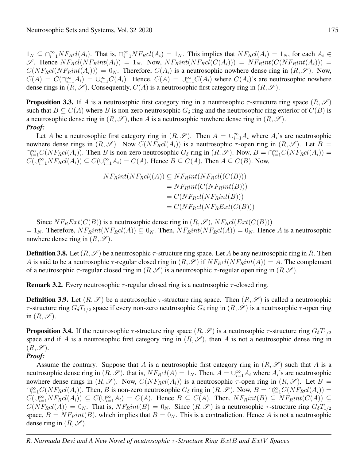$1_N \subseteq \bigcap_{i=1}^{\infty} NF_Rcl(A_i)$ . That is,  $\bigcap_{i=1}^{\infty} NF_Rcl(A_i) = 1_N$ . This implies that  $NF_Rcl(A_i) = 1_N$ , for each  $A_i \in$ S. Hence  $NF_Rcl(NF_Rint(A_i)) = 1_N$ . Now,  $NF_Rint(NF_Rcl(C(A_i))) = NF_Rint(C(NF_Rint(A_i)))$  $C(NF_Rcl(NF_Rint(A_i))) = 0_N$ . Therefore,  $C(A_i)$  is a neutrosophic nowhere dense ring in  $(R, \mathscr{S})$ . Now,  $C(A) = C(\bigcap_{i=1}^{\infty} A_i) = \bigcup_{i=1}^{\infty} C(A_i)$ . Hence,  $C(A) = \bigcup_{i=1}^{\infty} C(A_i)$  where  $C(A_i)$ 's are neutrosophic nowhere dense rings in  $(R, \mathscr{S})$ . Consequently,  $C(A)$  is a neutrosophic first category ring in  $(R, \mathscr{S})$ .

**Proposition 3.3.** If A is a neutrosophic first category ring in a neutrosophic  $\tau$ -structure ring space  $(R, \mathscr{S})$ such that  $B \subseteq C(A)$  where B is non-zero neutrosophic  $G_{\delta}$  ring and the neutrosophic ring exterior of  $C(B)$  is a neutrosophic dense ring in  $(R, \mathscr{S})$ , then A is a neutrosophic nowhere dense ring in  $(R, \mathscr{S})$ . *Proof:*

Let A be a neutrosophic first category ring in  $(R, \mathscr{S})$ . Then  $A = \bigcup_{i=1}^{\infty} A_i$  where  $A_i$ 's are neutrosophic nowhere dense rings in  $(R, \mathscr{S})$ . Now  $C(NF_Rcl(A_i))$  is a neutrosophic  $\tau$ -open ring in  $(R, \mathscr{S})$ . Let  $B =$  $\bigcap_{i=1}^{\infty} C(NF_Rcl(A_i))$ . Then B is non-zero neutrosophic  $G_{\delta}$  ring in  $(R, \mathscr{S})$ . Now,  $B = \bigcap_{i=1}^{\infty} C(NF_Rcl(A_i))$  $C(\bigcup_{i=1}^{\infty} NF_R cl(A_i)) \subseteq C(\bigcup_{i=1}^{\infty} A_i) = C(A)$ . Hence  $B \subseteq C(A)$ . Then  $A \subseteq C(B)$ . Now,

$$
NF_Rint(NF_Rcl((A)) \subseteq NF_Rint(NF_Rcl((C(B)))
$$
  
= 
$$
NF_Rint(C(NF_Rint(B)))
$$
  
= 
$$
C(NF_Rcl(NF_Rint(B)))
$$
  
= 
$$
C(NF_Rcl(NF_RExt(C(B)))
$$

Since  $NF_RExt(C(B))$  is a neutrosophic dense ring in  $(R, \mathscr{S})$ ,  $NF_Rcl(Ext(C(B)))$  $= 1_N$ . Therefore,  $NF_Rint(NF_Rcl(A)) \subseteq 0_N$ . Then,  $NF_Rint(NF_Rcl(A)) = 0_N$ . Hence A is a neutrosophic nowhere dense ring in  $(R, \mathscr{S})$ .

**Definition 3.8.** Let  $(R, \mathscr{S})$  be a neutrosophic  $\tau$ -structure ring space. Let A be any neutrosophic ring in R. Then A is said to be a neutrosophic  $\tau$ -regular closed ring in  $(R, \mathscr{S})$  if  $N F_R cl(N F_R int(A)) = A$ . The complement of a neutrosophic  $\tau$ -regular closed ring in  $(R.\mathscr{S})$  is a neutrosophic  $\tau$ -regular open ring in  $(R.\mathscr{S})$ .

**Remark 3.2.** Every neutrosophic  $\tau$ -regular closed ring is a neutrosophic  $\tau$ -closed ring.

**Definition 3.9.** Let  $(R, \mathscr{S})$  be a neutrosophic  $\tau$ -structure ring space. Then  $(R, \mathscr{S})$  is called a neutrosophic τ-structure ring  $G_{\delta}T_{1/2}$  space if every non-zero neutrosophic  $G_{\delta}$  ring in  $(R, \mathscr{S})$  is a neutrosophic τ-open ring in  $(R, \mathscr{S})$ .

**Proposition 3.4.** If the neutrosophic  $\tau$ -structure ring space  $(R, \mathscr{S})$  is a neutrosophic  $\tau$ -structure ring  $G_{\delta}T_{1/2}$ space and if A is a neutrosophic first category ring in  $(R, \mathscr{S})$ , then A is not a neutrosophic dense ring in  $(R, \mathscr{S}).$ 

#### *Proof:*

Assume the contrary. Suppose that A is a neutrosophic first category ring in  $(R, \mathscr{S})$  such that A is a neutrosophic dense ring in  $(R, \mathscr{S})$ , that is,  $NF_Rcl(A) = 1_N$ . Then,  $A = \bigcup_{i=1}^{\infty} A_i$  where  $A_i$ 's are neutrosophic nowhere dense rings in  $(R, \mathscr{S})$ . Now,  $C(NF_Rcl(A_i))$  is a neutrosophic  $\tau$ -open ring in  $(R, \mathscr{S})$ . Let  $B =$  $\bigcap_{i=1}^{\infty} C(NF_Rcl(A_i))$ . Then, B is non-zero neutrosophic  $G_{\delta}$  ring in  $(R, \mathscr{S})$ . Now,  $B = \bigcap_{i=1}^{\infty} C(NF_Rcl(A_i))$  $C(\bigcup_{i=1}^{\infty} NF_R cl(A_i)) \subseteq C(\bigcup_{i=1}^{\infty} A_i) = C(A)$ . Hence  $B \subseteq C(A)$ . Then,  $NF_R int(B) \subseteq NF_R int(C(A)) \subseteq$  $C(NF_Rcl(A)) = 0_N$ . That is,  $NF_Rint(B) = 0_N$ . Since  $(R, \mathscr{S})$  is a neutrosophic  $\tau$ -structure ring  $G_{\delta}T_{1/2}$ space,  $B = NF_Rint(B)$ , which implies that  $B = 0_N$ . This is a contradiction. Hence A is not a neutrosophic dense ring in  $(R, \mathscr{S})$ .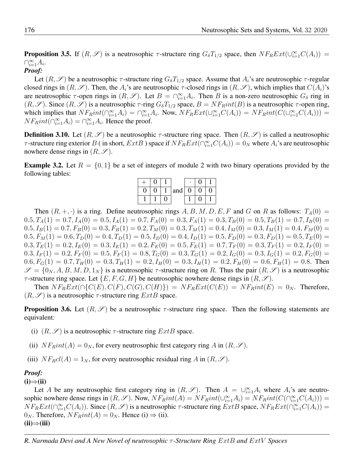**Proposition 3.5.** If  $(R, \mathscr{S})$  is a neutrosophic  $\tau$ -structure ring  $G_{\delta}T_{1/2}$  space, then  $NF_RExt(\cup_{i=1}^{\infty}C(A_i))$  =  $\bigcap_{i=1}^{\infty} A_i$ .

### *Proof:*

Let  $(R, \mathscr{S})$  be a neutrosophic  $\tau$ -structure ring  $G_{\delta}T_{1/2}$  space. Assume that  $A_i$ 's are neutrosophic  $\tau$ -regular closed rings in  $(R, \mathscr{S})$ . Then, the  $A_i$ 's are neutrosophic  $\tau$ -closed rings in  $(R, \mathscr{S})$ , which implies that  $C(A_i)$ 's are neutrosophic  $\tau$ -open rings in  $(R, \mathscr{S})$ . Let  $B = \bigcap_{i=1}^{\infty} A_i$ . Then B is a non-zero neutrosophic  $G_{\delta}$  ring in  $(R, \mathscr{S})$ . Since  $(R, \mathscr{S})$  is a neutrosophic  $\tau$ -ring  $G_{\delta}T_{1/2}$  space,  $B = NF_Rint(B)$  is a neutrosophic  $\tau$ -open ring, which implies that  $NF_Rint(\bigcap_{i=1}^{\infty}A_i) = \bigcap_{i=1}^{\infty}A_i$ . Now,  $NF_RExt(\bigcup_{i=1}^{\infty}C(A_i)) = NF_Rint(C(\bigcup_{i=1}^{\infty}C(A_i)))$  $NF_Rint(\bigcap_{i=1}^{\infty}A_i) = \bigcap_{i=1}^{\infty}A_i$ . Hence the proof.

**Definition 3.10.** Let  $(R, \mathscr{S})$  be a neutrosophic  $\tau$ -structure ring space. Then  $(R, \mathscr{S})$  is called a neutrosophic  $\tau$ -structure ring exterior B (in short,  $ExtB$ ) space if  $NF_R Ext(\bigcap_{i=1}^{\infty}C(A_i)) = 0_N$  where  $A_i$ 's are neutrosophic nowhere dense rings in  $(R, \mathscr{S})$ .

**Example 3.2.** Let  $R = \{0, 1\}$  be a set of integers of module 2 with two binary operations provided by the following tables:



Then  $(R, +, \cdot)$  is a ring. Define neutrosophic rings A, B, M, D, E, F and G on R as follows:  $T_A(0)$  =  $0.5, T_A(1) = 0.7, I_A(0) = 0.5, I_A(1) = 0.7, F_A(0) = 0.3, F_A(1) = 0.3, T_B(0) = 0.5, T_B(1) = 0.7, I_B(0) = 0.5$  $0.5, I_B(1) = 0.7, F_B(0) = 0.3, F_B(1) = 0.2, T_M(0) = 0.3, T_M(1) = 0.4, I_M(0) = 0.3, I_M(1) = 0.4, F_M(0) = 0.4,$  $0.5, F_M(1) = 0.6, T_D(0) = 0.4, T_D(1) = 0.5, I_D(0) = 0.4, I_D(1) = 0.5, F_D(0) = 0.3, F_D(1) = 0.5, T_E(0) = 0.5, T_E(1) = 0.5, T_E(1) = 0.5, T_E(0) = 0.5, T_E(1) = 0.5, T_E(0) = 0.5, T_E(1) = 0.5, T_E(0) = 0.5, T_E(1) = 0.5, T_E(0) = 0.5, T_E(1) = 0.5, T_E(0) = 0.5, T_E(1) =$  $0.3, T_E(1) = 0.2, I_E(0) = 0.3, I_E(1) = 0.2, F_E(0) = 0.5, F_E(1) = 0.7, T_F(0) = 0.3, T_F(1) = 0.2, I_F(0) = 0.3,$  $0.3, I_F(1) = 0.2, F_F(0) = 0.5, F_F(1) = 0.8, T_G(0) = 0.3, T_G(1) = 0.2, I_G(0) = 0.3, I_G(1) = 0.2, F_G(0) = 0.3,$  $0.6, F_G(1) = 0.7, T_H(0) = 0.3, T_H(1) = 0.2, I_H(0) = 0.3, I_H(1) = 0.2, F_H(0) = 0.6, F_H(1) = 0.8$ . Then  $\mathscr{S} = \{0_N, A, B, M, D, 1_N\}$  is a neutrosophic  $\tau$ -structure ring on R. Thus the pair  $(R, \mathscr{S})$  is a neutrosophic  $\tau$ -structure ring space. Let  $\{E, F, G, H\}$  be neutrosophic nowhere dense rings in  $(R, \mathscr{S})$ .

Then  $N F_R Ext(\bigcap \{C(E), C(F), C(G), C(H)\}) = N F_R Ext(C(E)) = N F_R int(E) = 0_N$ . Therefore,  $(R, \mathscr{S})$  is a neutrosophic  $\tau$ -structure ring  $ExtB$  space.

**Proposition 3.6.** Let  $(R, \mathscr{S})$  be a neutrosophic  $\tau$ -structure ring space. Then the following statements are equivalent:

- (i)  $(R, \mathscr{S})$  is a neutrosophic  $\tau$ -structure ring  $ExtB$  space.
- (ii)  $NF<sub>R</sub>int(A) = 0<sub>N</sub>$ , for every neutrosophic first category ring A in  $(R, \mathscr{S})$ .
- (iii)  $N F_R c l(A) = 1_N$ , for every neutrosophic residual ring A in  $(R, \mathscr{S})$ .

#### *Proof:*

 $(i) \Rightarrow (ii)$ 

Let A be any neutrosophic first category ring in  $(R, \mathscr{S})$ . Then  $A = \bigcup_{i=1}^{\infty} A_i$  where  $A_i$ 's are neutrosophic nowhere dense rings in  $(R, \mathscr{S})$ . Now,  $NF_Rint(A) = NF_Rint(\cup_{i=1}^{\infty} A_i) = NF_Rint(C(\cap_{i=1}^{\infty} C(A_i)))$  =  $N F_R Ext(\bigcap_{i=1}^{\infty} C(A_i))$ . Since  $(R, \mathscr{S})$  is a neutrosophic  $\tau$ -structure ring  $ExtB$  space,  $N F_R Ext(\bigcap_{i=1}^{\infty} C(A_i)) =$  $0_N$ . Therefore,  $N F_R int(A) = 0_N$ . Hence (i)  $\Rightarrow$  (ii).  $(ii) \Rightarrow (iii)$ 

*R. Narmada Devi and A New Novel of neutrosophic* τ *-Structure Ring* ExtB *and* ExtV *Spaces*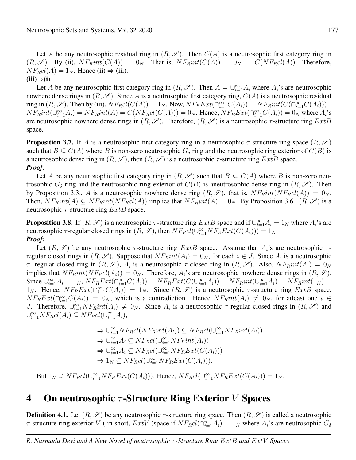Let A be any neutrosophic residual ring in  $(R, \mathscr{S})$ . Then  $C(A)$  is a neutrosophic first category ring in  $(R, \mathscr{S})$ . By (ii),  $NF_Rint(C(A)) = 0_N$ . That is,  $NF_Rint(C(A)) = 0_N = C(NF_Rcl(A))$ . Therefore,  $N F_R c l(A) = 1_N$ . Hence (ii)  $\Rightarrow$  (iii).

 $(iii) \Rightarrow (i)$ 

Let A be any neutrosophic first category ring in  $(R, \mathscr{S})$ . Then  $A = \bigcup_{i=1}^{\infty} A_i$  where  $A_i$ 's are neutrosophic nowhere dense rings in  $(R, \mathscr{S})$ . Since A is a neutrosophic first category ring,  $C(A)$  is a neutrosophic residual ring in  $(R, \mathscr{S})$ . Then by (iii),  $N F_R cl(C(A)) = 1_N$ . Now,  $N F_R Ext(\bigcap_{i=1}^{\infty} C(A_i)) = N F_R int(C(\bigcap_{i=1}^{\infty} C(A_i))) =$  $NF_Rint(\bigcup_{i=1}^{\infty} A_i) = NF_Rint(A) = C(NF_Rcl(C(A))) = 0_N$ . Hence,  $NF_RExt(\bigcap_{i=1}^{\infty} C(A_i)) = 0_N$  where  $A_i$ 's are neutrosophic nowhere dense rings in  $(R, \mathscr{S})$ . Therefore,  $(R, \mathscr{S})$  is a neutrosophic  $\tau$ -structure ring  $ExtB$ space.

**Proposition 3.7.** If A is a neutrosophic first category ring in a neutrosophic  $\tau$ -structure ring space  $(R, \mathscr{S})$ such that  $B \subseteq C(A)$  where B is non-zero neutrosophic  $G_{\delta}$  ring and the neutrosophic ring exterior of  $C(B)$  is a neutrosophic dense ring in  $(R, \mathscr{S})$ , then  $(R, \mathscr{S})$  is a neutrosophic  $\tau$ -structure ring  $ExtB$  space. *Proof:*

Let A be any neutrosophic first category ring in  $(R, \mathscr{S})$  such that  $B \subseteq C(A)$  where B is non-zero neutrosophic  $G_{\delta}$  ring and the neutrosophic ring exterior of  $C(B)$  is aneutrosophic dense ring in  $(R, \mathscr{S})$ . Then by Proposition 3.3., A is a neutrosophic nowhere dense ring  $(R, \mathscr{S})$ , that is,  $NF_Rint(NF_RcI(A)) = 0_N$ . Then,  $NF_Rint(A) \subseteq NF_Rint(NF_RcI(A))$  implies that  $NF_Rint(A) = 0_N$ . By Proposition 3.6.,  $(R, \mathscr{S})$  is a neutrosophic  $\tau$ -structure ring  $ExtB$  space.

**Proposition 3.8.** If  $(R, \mathscr{S})$  is a neutrosophic  $\tau$ -structure ring  $ExtB$  space and if  $\bigcup_{i=1}^{\infty} A_i = 1_N$  where  $A_i$ 's are neutrosophic  $\tau$ -regular closed rings in  $(R, \mathscr{S})$ , then  $N F_R cl(\cup_{i=1}^{\infty} NF_R Ext(C(A_i))) = 1_N$ . *Proof:*

Let  $(R, \mathscr{S})$  be any neutrosophic  $\tau$ -structure ring  $ExtB$  space. Assume that  $A_i$ 's are neutrosophic  $\tau$ regular closed rings in  $(R, \mathscr{S})$ . Suppose that  $NF_Rint(A_i) = 0_N$ , for each  $i \in J$ . Since  $A_i$  is a neutrosophic τ- regular closed ring in  $(R, \mathscr{S})$ ,  $A_i$  is a neutrosophic τ-closed ring in  $(R, \mathscr{S})$ . Also,  $NF_Rint(A_i) = 0_N$ implies that  $NF_Rint(NF_RcI(A_i)) = 0_N$ . Therefore,  $A_i$ 's are neutrosophic nowhere dense rings in  $(R, \mathscr{S})$ . Since  $\bigcup_{i=1}^{\infty} A_i = 1_N$ ,  $N F_R Ext(\bigcap_{i=1}^{\infty} C(A_i)) = N F_R Ext(C(\bigcup_{i=1}^{\infty} A_i)) = N F_R int(\bigcup_{i=1}^{\infty} A_i) = N F_R int(1_N) = N F_R int(\bigcap_{i=1}^{\infty} A_i)$ 1<sub>N</sub>. Hence,  $N F_R Ext(\bigcap_{i=1}^{\infty} C(A_i)) = 1_N$ . Since  $(R, \mathscr{S})$  is a neutrosophic  $\tau$ -structure ring  $ExtB$  space,  $N F_R Ext(\bigcap_{i=1}^{\infty} C(A_i)) = 0_N$ , which is a contradiction. Hence  $N F_R int(A_i) \neq 0_N$ , for atleast one  $i \in$ J. Therefore,  $\bigcup_{i=1}^{\infty} NF_Rint(A_i) \neq 0_N$ . Since  $A_i$  is a neutrosophic  $\tau$ -regular closed rings in  $(R, \mathscr{S})$  and  $\bigcup_{i=1}^{\infty} NF_R cl(A_i) \subseteq NF_R cl(\bigcup_{i=1}^{\infty} A_i),$ 

$$
\Rightarrow \cup_{i=1}^{\infty} N F_R cl(N F_R int(A_i)) \subseteq N F_R cl(\cup_{i=1}^{\infty} N F_R int(A_i))
$$
  
\n
$$
\Rightarrow \cup_{i=1}^{\infty} A_i \subseteq N F_R cl(\cup_{i=1}^{\infty} N F_R int(A_i))
$$
  
\n
$$
\Rightarrow \cup_{i=1}^{\infty} A_i \subseteq N F_R cl(\cup_{i=1}^{\infty} N F_R Ext(C(A_i)))
$$
  
\n
$$
\Rightarrow 1_N \subseteq N F_R cl(\cup_{i=1}^{\infty} N F_R Ext(C(A_i))).
$$

But  $1_N \supseteq NF_R cl(\bigcup_{i=1}^{\infty} NF_R Ext(C(A_i)))$ . Hence,  $NF_R cl(\bigcup_{i=1}^{\infty} NF_R Ext(C(A_i))) = 1_N$ .

## **4** On neutrosophic  $\tau$ -Structure Ring Exterior V Spaces

**Definition 4.1.** Let  $(R, \mathscr{S})$  be any neutrosophic  $\tau$ -structure ring space. Then  $(R, \mathscr{S})$  is called a neutrosophic  $\tau$ -structure ring exterior V (in short,  $ExtV$ ) space if  $NF_Rcl(\bigcap_{i=1}^n A_i) = 1_N$  where  $A_i$ 's are neutrosophic  $G_\delta$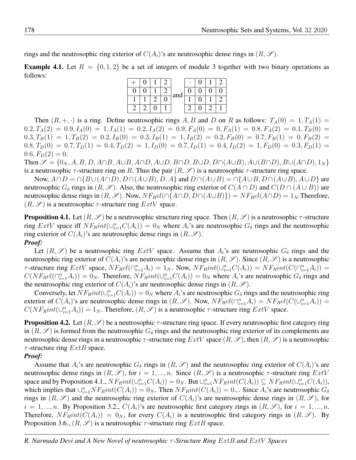rings and the neutrosophic ring exterior of  $C(A_i)$ 's are neutrosophic dense rings in  $(R, \mathscr{S})$ .

**Example 4.1.** Let  $R = \{0, 1, 2\}$  be a set of integers of module 3 together with two binary operations as follows:

|  |  | and |  | וו |  |
|--|--|-----|--|----|--|
|  |  |     |  |    |  |
|  |  |     |  |    |  |

Then  $(R, +, \cdot)$  is a ring. Define neutrosophic rings A, B and D on R as follows:  $T_A(0) = 1, T_A(1) = 1$  $0.2, T_A(2) = 0.9, I_A(0) = 1, I_A(1) = 0.2, I_A(2) = 0.9, F_A(0) = 0, F_A(1) = 0.8, F_A(2) = 0.1, T_B(0) = 0.0$  $0.3, T_B(1) = 1, T_B(2) = 0.2, I_B(0) = 0.3, I_B(1) = 1, I_B(2) = 0.2, F_B(0) = 0.7, F_B(1) = 0, F_B(2) = 0.7,$  $0.8, T_D(0) = 0.7, T_D(1) = 0.4, T_D(2) = 1, I_D(0) = 0.7, I_D(1) = 0.4, I_D(2) = 1, F_D(0) = 0.3, F_D(1) = 0.6, T_D(2) = 0.7, I_D(1) = 0.7, I_D(2) = 0.7, I_D(3) = 0.7, I_D(4) = 0.7, I_D(5) = 0.7, I_D(6) = 0.7, I_D(7) = 0.7, I_D(8) = 0.7, I_D(9) = 0.7, I_D(1) = 0.7, I_D(1) = 0.7,$  $0.6, F<sub>D</sub>(2) = 0.$ 

Then  $\mathscr{S} = \{0_N, A, B, D, A \cap B, A \cup B, A \cap D, A \cup D, B \cap D, B \cup D, D \cap (A \cup B), A \cup (B \cap D), B \cup (A \cap D), 1_N\}$ is a neutrosophic  $\tau$ -structure ring on R. Thus the pair  $(R, \mathscr{S})$  is a neutrosophic  $\tau$ -structure ring space.

Now,  $A \cap D = \cap \{B \cup (A \cap D), D \cap (A \cup B), D, A\}$  and  $D \cap (A \cup B) = \cap \{A \cup B, D \cap (A \cup B), A \cup D\}$  are neutrosophic  $G_{\delta}$  rings in  $(R, \mathscr{S})$ . Also, the neutrosophic ring exterior of  $C(A \cap D)$  and  $C(D \cap (A \cup B))$  are neutrosophic dense rings in  $(R, \mathscr{S})$ . Now,  $N F_R cl(\bigcap \{A \cap D, D \cap (A \cup B)\}\big) = N F_R cl(A \cap D) = 1_N$ . Therefore,  $(R, \mathscr{S})$  is a neutrosophic  $\tau$ -structure ring  $ExtV$  space.

**Proposition 4.1.** Let  $(R, \mathscr{S})$  be a neutrosophic structure ring space. Then  $(R, \mathscr{S})$  is a neutrosophic  $\tau$ -structure ring  $ExtV$  space iff  $NF_Rint(\bigcup_{i=1}^n C(A_i)) = 0_N$  where  $A_i$ 's are neutrosophic  $G_\delta$  rings and the neutrosophic ring exterior of  $C(A_i)$ 's are neutrosophic dense rings in  $(R, \mathscr{S})$ . *Proof:*

Let  $(R, \mathscr{S})$  be a neutrosophic ring  $ExtV$  space. Assume that  $A_i$ 's are neutrosophic  $G_\delta$  rings and the neutrosophic ring exterior of  $C(A_i)$ 's are neutrosophic dense rings in  $(R, \mathscr{S})$ . Since  $(R, \mathscr{S})$  is a neutrosophic *τ*-structure ring  $ExtV$  space,  $NF_Rcl(\bigcap_{i=1}^n A_i) = 1_N$ . Now,  $NF_Rint(\bigcup_{i=1}^n C(A_i)) = NF_Rint(C(\bigcap_{i=1}^n A_i)) =$  $C(NF_Rcl(\bigcap_{i=1}^n A_i)) = 0_N$ . Therefore,  $NF_Rint(\bigcup_{i=1}^n C(A_i)) = 0_N$  where  $A_i$ 's are neutrosophic  $G_\delta$  rings and the neutrosophic ring exterior of  $C(A_i)$ 's are neutrosophic dense rings in  $(R, \mathscr{S})$ .

Conversely, let  $N F_R int(\cup_{i=1}^n C(A_i)) = 0_N$  where  $A_i$ 's are neutrosophic  $G_\delta$  rings and the neutrosophic ring exterior of  $C(A_i)$ 's are neutrosophic dense rings in  $(R, \mathscr{S})$ . Now,  $N F_R cl(\bigcap_{i=1}^n A_i) = N F_R cl(C(\bigcup_{i=1}^n A_i)) =$  $C(NF_Rint(\cup_{i=1}^n A_i)) = 1_N$ . Therefore,  $(R, \mathscr{S})$  is a neutrosophic  $\tau$ -structure ring  $ExtV$  space.

**Proposition 4.2.** Let  $(R, \mathscr{S})$  be a neutrosophic  $\tau$ -structure ring space. If every neutrosophic first category ring in  $(R, \mathscr{S})$  is formed from the neutrosophic  $G_\delta$  rings and the neutrosophic ring exterior of its complements are neutrosophic dense rings in a neutrosophic  $\tau$ -structure ring  $ExtV$  space  $(R, \mathscr{S})$ , then  $(R, \mathscr{S})$  is a neutrosophic  $\tau$ -structure ring  $ExtB$  space.

#### *Proof:*

Assume that  $A_i$ 's are neutrosophic  $G_\delta$  rings in  $(R, \mathscr{S})$  and the neutrosophic ring exterior of  $C(A_i)$ 's are neutrosophic dense rings in  $(R, \mathscr{S})$ , for  $i = 1, ..., n$ . Since  $(R, \mathscr{S})$  is a neutrosophic  $\tau$ -structure ring  $ExtV$ space and by Proposition 4.1.,  $NF_Rint(\cup_{i=1}^n C(A_i)) = 0_N$ . But  $\cup_{i=1}^n NF_Rint(C(A_i)) \subseteq NF_Rint(\cup_{i=1}^n C(A_i)),$ which implies that  $\cup_{i=1}^n NF_Rint(C(A_i)) = 0_N$ . Then  $NF_Rint(C(A_i)) = 0_{\sim}$ . Since  $A_i$ 's are neutrosophic  $G_{\delta}$ rings in  $(R, \mathscr{S})$  and the neutrosophic ring exterior of  $C(A_i)$ 's are neutrosophic dense rings in  $(R, \mathscr{S})$ , for  $i = 1, ..., n$ . By Proposition 3.2.,  $C(A_i)$ 's are neutrosophic first category rings in  $(R, \mathscr{S})$ , for  $i = 1, ..., n$ . Therefore,  $NF_Rint(C(A_i)) = 0_N$ , for every  $C(A_i)$  is a neutrosophic first category rings in  $(R, \mathscr{S})$ . By Proposition 3.6.,  $(R, \mathscr{S})$  is a neutrosophic  $\tau$ -structure ring  $ExtB$  space.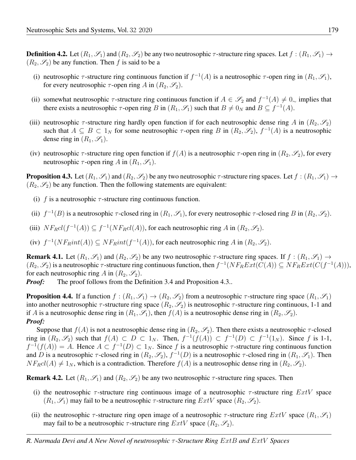**Definition 4.2.** Let  $(R_1, \mathscr{S}_1)$  and  $(R_2, \mathscr{S}_2)$  be any two neutrosophic  $\tau$ -structure ring spaces. Let  $f : (R_1, \mathscr{S}_1) \to$  $(R_2, \mathscr{S}_2)$  be any function. Then f is said to be a

- (i) neutrosophic  $\tau$ -structure ring continuous function if  $f^{-1}(A)$  is a neutrosophic  $\tau$ -open ring in  $(R_1, \mathscr{S}_1)$ , for every neutrosophic  $\tau$ -open ring A in  $(R_2, \mathscr{S}_2)$ .
- (ii) somewhat neutrosophic  $\tau$ -structure ring continuous function if  $A \in \mathscr{S}_2$  and  $f^{-1}(A) \neq 0_{\sim}$  implies that there exists a neutrosophic  $\tau$ -open ring B in  $(R_1, \mathscr{S}_1)$  such that  $B \neq 0_N$  and  $B \subseteq f^{-1}(A)$ .
- (iii) neutrosophic  $\tau$ -structure ring hardly open function if for each neutrosophic dense ring A in  $(R_2, \mathscr{S}_2)$ such that  $A \subseteq B \subset 1_N$  for some neutrosophic  $\tau$ -open ring B in  $(R_2, \mathscr{S}_2)$ ,  $f^{-1}(A)$  is a neutrosophic dense ring in  $(R_1, \mathscr{S}_1)$ .
- (iv) neutrosophic  $\tau$ -structure ring open function if  $f(A)$  is a neutrosophic  $\tau$ -open ring in  $(R_2, \mathscr{S}_2)$ , for every neutrosophic  $\tau$ -open ring A in  $(R_1, \mathscr{S}_1)$ .

**Proposition 4.3.** Let  $(R_1, \mathscr{S}_1)$  and  $(R_2, \mathscr{S}_2)$  be any two neutrosophic  $\tau$ -structure ring spaces. Let  $f : (R_1, \mathscr{S}_1) \to$  $(R_2, \mathscr{S}_2)$  be any function. Then the following statements are equivalent:

- (i) f is a neutrosophic  $\tau$ -structure ring continuous function.
- (ii)  $f^{-1}(B)$  is a neutrosophic  $\tau$ -closed ring in  $(R_1, \mathscr{S}_1)$ , for every neutrosophic  $\tau$ -closed ring B in  $(R_2, \mathscr{S}_2)$ .
- (iii)  $NF_Rcl(f^{-1}(A)) \subseteq f^{-1}(NF_Rcl(A))$ , for each neutrosophic ring A in  $(R_2, \mathscr{S}_2)$ .
- (iv)  $f^{-1}(NF_Rint(A)) \subseteq NF_Rint(f^{-1}(A))$ , for each neutrosophic ring A in  $(R_2, \mathscr{S}_2)$ .

**Remark 4.1.** Let  $(R_1, \mathscr{S}_1)$  and  $(R_2, \mathscr{S}_2)$  be any two neutrosophic  $\tau$ -structure ring spaces. If  $f : (R_1, \mathscr{S}_1) \to$  $(R_2, \mathscr{S}_2)$  is a neutrosophic  $\tau$ -structure ring continuous function, then  $f^{-1}(NF_RExt(C(A)) \subseteq NF_RExt(C(f^{-1}(A))),$ for each neutrosophic ring A in  $(R_2, \mathscr{S}_2)$ .

*Proof:* The proof follows from the Definition 3.4 and Proposition 4.3..

**Proposition 4.4.** If a function  $f:(R_1,\mathscr{S}_1)\to(R_2,\mathscr{S}_2)$  from a neutrosophic  $\tau$ -structure ring space  $(R_1,\mathscr{S}_1)$ into another neutrosophic  $\tau$ -structure ring space  $(R_2, \mathscr{S}_2)$  is neutrosophic  $\tau$ -structure ring continuous, 1-1 and if A is a neutrosophic dense ring in  $(R_1, \mathscr{S}_1)$ , then  $f(A)$  is a neutrosophic dense ring in  $(R_2, \mathscr{S}_2)$ . *Proof:*

Suppose that  $f(A)$  is not a neutrosophic dense ring in  $(R_2, \mathscr{S}_2)$ . Then there exists a neutrosophic  $\tau$ -closed ring in  $(R_2, \mathscr{S}_2)$  such that  $f(A) \subset D \subset 1_N$ . Then,  $f^{-1}(f(A)) \subset f^{-1}(D) \subset f^{-1}(1_N)$ . Since f is 1-1,  $f^{-1}(f(A)) = A$ . Hence  $A \subset f^{-1}(D) \subset 1_N$ . Since f is a neutrosophic  $\tau$ -structure ring continuous function and D is a neutrosophic  $\tau$ -closed ring in  $(R_2, \mathscr{S}_2)$ ,  $f^{-1}(D)$  is a neutrosophic  $\tau$ -closed ring in  $(R_1, \mathscr{S}_1)$ . Then  $NF_{R}cl(A) \neq 1_N$ , which is a contradiction. Therefore  $f(A)$  is a neutrosophic dense ring in  $(R_2, \mathscr{S}_2)$ .

**Remark 4.2.** Let  $(R_1, \mathscr{S}_1)$  and  $(R_2, \mathscr{S}_2)$  be any two neutrosophic  $\tau$ -structure ring spaces. Then

- (i) the neutrosophic  $\tau$ -structure ring continuous image of a neutrosophic  $\tau$ -structure ring  $ExtV$  space  $(R_1, \mathscr{S}_1)$  may fail to be a neutrosophic  $\tau$ -structure ring  $ExtV$  space  $(R_2, \mathscr{S}_2)$ .
- (ii) the neutrosophic  $\tau$ -structure ring open image of a neutrosophic  $\tau$ -structure ring  $ExtV$  space  $(R_1, \mathscr{S}_1)$ may fail to be a neutrosophic  $\tau$ -structure ring  $ExtV$  space  $(R_2, \mathscr{S}_2)$ .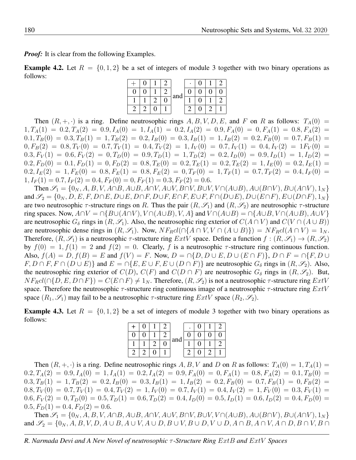*Proof:* It is clear from the following Examples.

**Example 4.2.** Let  $R = \{0, 1, 2\}$  be a set of integers of module 3 together with two binary operations as follows:

|  |  |     | ٠ |  | 7 |
|--|--|-----|---|--|---|
|  |  | and |   |  |   |
|  |  |     |   |  |   |
|  |  |     |   |  |   |

Then  $(R, +, \cdot)$  is a ring. Define neutrosophic rings  $A, B, V, D, E$ , and F on R as follows:  $T_A(0)$  =  $1, T_A(1) = 0.2, T_A(2) = 0.9, I_A(0) = 1, I_A(1) = 0.2, I_A(2) = 0.9, F_A(0) = 0, F_A(1) = 0.8, F_A(2) = 0.9, F_A(3) = 0.9, F_A(4) = 0.9, F_A(5) = 0.9, F_A(6) = 0.9, F_A(7) = 0.9, F_A(8) = 0.9, F_A(9) = 0.9, F_A(1) = 0.9, F_A(1) = 0.9, F_A(1) = 0.9, F_A(2) = 0.9, F_A(3) = 0.9, F_A$  $0.1, T_B(0) = 0.3, T_B(1) = 1, T_B(2) = 0.2, I_B(0) = 0.3, I_B(1) = 1, I_B(2) = 0.2, F_B(0) = 0.7, F_B(1) = 0.7$  $0, F_B(2) = 0.8, T_V(0) = 0.7, T_V(1) = 0.4, T_V(2) = 1, I_V(0) = 0.7, I_V(1) = 0.4, I_V(2) = 1F_V(0) = 0.7$  $0.3, F_V(1) = 0.6, F_V(2) = 0, T_D(0) = 0.9, T_D(1) = 1, T_D(2) = 0.2, I_D(0) = 0.9, I_D(1) = 1, I_D(2) = 0.0$  $0.2, F_D(0) = 0.1, F_D(1) = 0, F_D(2) = 0.8, T_E(0) = 0.2, T_E(1) = 0.2, T_E(2) = 1, I_E(0) = 0.2, I_E(1) = 0.2, I_E(2) = 0.2, I_E(3) = 0.2, I_E(4) = 0.2, I_E(5) = 0.2, I_E(6) = 0.2, I_E(7) = 0.2, I_E(8) = 0.2, I_E(9) = 0.2, I_E(1) = 0.2, I_E(1) = 0.2, I_E(1) = 0.2, I_E(2) = 0.2,$  $0.2, I_E(2) = 1, F_E(0) = 0.8, F_E(1) = 0.8, F_E(2) = 0, T_F(0) = 1, T_F(1) = 0.7, T_F(2) = 0.4, I_F(0) = 0.6$  $1, I_F(1) = 0.7, I_F(2) = 0.4, F_F(0) = 0, F_F(1) = 0.3, F_F(2) = 0.6.$ 

Then  $\mathcal{S}_1 = \{0_N, A, B, V, A \cap B, A \cup B, A \cap V, A \cup V, B \cap V, B \cup V, V \cap (A \cup B), A \cup (B \cap V), B \cup (A \cap V), 1_N\}$ and  $\mathscr{S}_2 = \{0_N, D, E, F, D \cap E, D \cup E, D \cap F, D \cup F, E \cap F, E \cup F, F \cap (D \cup E), D \cup (E \cap F), E \cup (D \cap F), 1_N\}$ are two neutrosophic  $\tau$ -structure rings on R. Thus the pair  $(R, \mathscr{S}_1)$  and  $(R, \mathscr{S}_2)$  are neutrosophic  $\tau$ -structure ring spaces. Now,  $A \cap V = \cap \{B \cup (A \cap V), V \cap (A \cup B), V, A\}$  and  $V \cap (A \cup B) = \cap \{A \cup B, V \cap (A \cup B), A \cup V\}$ are neutrosophic  $G_\delta$  rings in  $(R, \mathscr{S}_1)$ . Also, the neutrosophic ring exterior of  $C(A \cap V)$  and  $C(V \cap (A \cup B))$ are neutrosophic dense rings in  $(R, \mathscr{S}_1)$ . Now,  $N F_R cl(\bigcap \{A \cap V, V \cap (A \cup B)\}) = N F_R cl(A \cap V) = 1_N$ . Therefore,  $(R, \mathscr{S}_1)$  is a neutrosophic  $\tau$ -structure ring  $ExtV$  space. Define a function  $f : (R, \mathscr{S}_1) \to (R, \mathscr{S}_2)$ by  $f(0) = 1$ ,  $f(1) = 2$  and  $f(2) = 0$ . Clearly, f is a neutrosophic  $\tau$ -structure ring continuous function. Also,  $f(A) = D$ ,  $f(B) = E$  and  $f(V) = F$ . Now,  $D = \bigcap \{D, D \cup E, D \cup (E \cap F)\}\$ ,  $D \cap F = \bigcap \{F, D \cup F\}$  $F, D \cap F, F \cap (D \cup E)$  and  $E = \cap \{E, E \cup F, E \cup (D \cap F)\}$  are neutrosophic  $G_{\delta}$  rings in  $(R, \mathscr{S}_2)$ . Also, the neutrosophic ring exterior of  $C(D)$ ,  $C(F)$  and  $C(D \cap F)$  are neutrosophic  $G_{\delta}$  rings in  $(R, \mathscr{S}_2)$ . But,  $N F_R cl(\bigcap \{D, E, D \cap F\}) = C(E \cap F) \neq 1_N$ . Therefore,  $(R, \mathscr{S}_2)$  is not a neutrosophic  $\tau$ -structure ring  $ExtV$ space. Therefore the neutrosophic  $\tau$ -structure ring continuous image of a neutrosophic  $\tau$ -structure ring  $ExtV$ space  $(R_1, \mathscr{S}_1)$  may fail to be a neutrosophic  $\tau$ -structure ring  $ExtV$  space  $(R_2, \mathscr{S}_2)$ .

**Example 4.3.** Let  $R = \{0, 1, 2\}$  be a set of integers of module 3 together with two binary operations as follows:

|  |  | and |  |  |
|--|--|-----|--|--|
|  |  |     |  |  |
|  |  |     |  |  |

Then  $(R, +, \cdot)$  is a ring. Define neutrosophic rings A, B, V and D on R as follows:  $T_A(0) = 1, T_A(1) =$  $0.2, T_A(2) = 0.9, I_A(0) = 1, I_A(1) = 0.2, I_A(2) = 0.9, F_A(0) = 0, F_A(1) = 0.8, F_A(2) = 0.1, T_B(0) = 0.0$  $0.3, T_B(1) = 1, T_B(2) = 0.2, I_B(0) = 0.3, I_B(1) = 1, I_B(2) = 0.2, F_B(0) = 0.7, F_B(1) = 0, F_B(2) = 0.7,$  $0.8, T_V(0) = 0.7, T_V(1) = 0.4, T_V(2) = 1, I_V(0) = 0.7, I_V(1) = 0.4, I_V(2) = 1, F_V(0) = 0.3, F_V(1) = 0.6$  $0.6, F_V(2) = 0, T_D(0) = 0.5, T_D(1) = 0.6, T_D(2) = 0.4, I_D(0) = 0.5, I_D(1) = 0.6, I_D(2) = 0.4, F_D(0) = 0.6, I_D(1) = 0.6, I_D(2) = 0.6, I_D(3) = 0.6, I_D(4) = 0.6, I_D(5) = 0.6, I_D(6) = 0.6, I_D(7) = 0.6, I_D(8) = 0.6, I_D(9) = 0.6, I_D(1) = 0.6, I_D(1) = 0.6, I_D(2) = 0.$  $0.5, F<sub>D</sub>(1) = 0.4, F<sub>D</sub>(2) = 0.6.$ 

Then  $\mathcal{S}_1 = \{0_N, A, B, V, A \cap B, A \cup B, A \cap V, A \cup V, B \cap V, B \cup V, V \cap (A \cup B), A \cup (B \cap V), B \cup (A \cap V), 1_N\}$ and S<sup>2</sup> = {0<sup>N</sup> , A, B, V, D, A ∪ B, A ∪ V, A ∪ D, B ∪ V, B ∪ D, V ∪ D, A ∩ B, A ∩ V, A ∩ D, B ∩ V, B ∩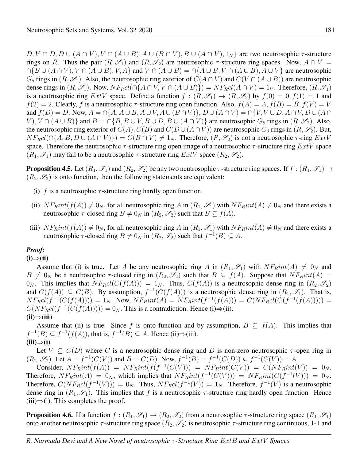$D, V \cap D, D \cup (A \cap V), V \cap (A \cup B), A \cup (B \cap V), B \cup (A \cap V), 1_N$  are two neutrosophic  $\tau$ -structure rings on R. Thus the pair  $(R, \mathscr{S}_1)$  and  $(R, \mathscr{S}_2)$  are neutrosophic  $\tau$ -structure ring spaces. Now,  $A \cap V =$  $\bigcap \{B \cup (A \cap V), V \cap (A \cup B), V, A\}$  and  $V \cap (A \cup B) = \bigcap \{A \cup B, V \cap (A \cup B), A \cup V\}$  are neutrosophic  $G_{\delta}$  rings in  $(R, \mathscr{S}_1)$ . Also, the neutrosophic ring exterior of  $C(A \cap V)$  and  $C(V \cap (A \cup B))$  are neutrosophic dense rings in  $(R, \mathscr{S}_1)$ . Now,  $N F_R cl (\bigcap \{A \cap V, V \cap (A \cup B)\}) = N F_R cl (A \cap V) = 1_V$ . Therefore,  $(R, \mathscr{S}_1)$ is a neutrosophic ring  $ExtV$  space. Define a function  $f:(R,\mathscr{S}_1)\to(R,\mathscr{S}_2)$  by  $f(0)=0, f(1)=1$  and  $f(2) = 2$ . Clearly, f is a neutrosophic  $\tau$ -structure ring open function. Also,  $f(A) = A, f(B) = B, f(V) = V$ and  $f(D) = D$ . Now,  $A = \bigcap \{A, A \cup B, A \cup V, A \cup (B \cap V)\}\$ ,  $D \cup (A \cap V) = \bigcap \{V, V \cup D, A \cap V, D \cup (A \cap V)\}$  $V$ ,  $V \cap (A \cup B)$  and  $B = \cap {B, B \cup V, B \cup D, B \cup (A \cap V)}$  are neutrosophic  $G_{\delta}$  rings in  $(R, \mathscr{S}_2)$ . Also, the neutrosophic ring exterior of  $C(A)$ ,  $C(B)$  and  $C(D \cup (A \cap V))$  are neutrosophic  $G_\delta$  rings in  $(R, \mathscr{S}_2)$ . But,  $NF_Rcl(\bigcap\{A, B, D\cup (A\cap V)\})=C(B\cap V)\neq 1_N$ . Therefore,  $(R,\mathscr{S}_2)$  is not a neutrosophic  $\tau$ -ring  $ExtV$ space. Therefore the neutrosophic  $\tau$ -structure ring open image of a neutrosophic  $\tau$ -structure ring  $ExtV$  space  $(R_1, \mathscr{S}_1)$  may fail to be a neutrosophic  $\tau$ -structure ring  $ExtV$  space  $(R_2, \mathscr{S}_2)$ .

**Proposition 4.5.** Let  $(R_1, S_1)$  and  $(R_2, S_2)$  be any two neutrosophic  $\tau$ -structure ring spaces. If  $f:(R_1, S_1) \to$  $(R_2, \mathscr{S}_2)$  is onto function, then the following statements are equivalent:

- (i) f is a neutrosophic  $\tau$ -structure ring hardly open function.
- (ii)  $NF_Rint(f(A)) \neq 0_N$ , for all neutrosophic ring A in  $(R_1, \mathscr{S}_1)$  with  $NF_Rint(A) \neq 0_N$  and there exists a neutrosophic  $\tau$ -closed ring  $B \neq 0_N$  in  $(R_2, \mathscr{S}_2)$  such that  $B \subseteq f(A)$ .
- (iii)  $NF_Rint(f(A)) \neq 0_N$ , for all neutrosophic ring A in  $(R_1, \mathscr{S}_1)$  with  $NF_Rint(A) \neq 0_N$  and there exists a neutrosophic  $\tau$ -closed ring  $B \neq 0_N$  in  $(R_2, \mathscr{S}_2)$  such that  $f^{-1}(B) \subseteq A$ .

### *Proof:*

### (i)⇒(ii)

Assume that (i) is true. Let A be any neutrosophic ring A in  $(R_1, \mathscr{S}_1)$  with  $NF_Rint(A) \neq 0_N$  and  $B \neq 0_N$  be a neutrosophic  $\tau$ -closed ring in  $(R_2, \mathscr{S}_2)$  such that  $B \subseteq f(A)$ . Suppose that  $NF_Rint(A)$  $0_N$ . This implies that  $N F_R cl (C(f(A))) = 1_N$ . Thus,  $C(f(A))$  is a neutrosophic dense ring in  $(R_2, \mathscr{S}_2)$ and  $C(f(A)) \subseteq C(B)$ . By assumption,  $f^{-1}(C(f(A)))$  is a neutrosophic dense ring in  $(R_1, \mathscr{S}_1)$ . That is,  $NF_Rcl(f^{-1}(C(f(A)))) = 1_N$ . Now,  $NF_Rint(A) = NF_Rint(f^{-1}(f(A))) = C(NF_Rcl(C(f^{-1}(f(A)))))$  $C(NF_Rcl(f^{-1}(C(f(A)))) = 0_N$ . This is a contradiction. Hence (i)⇒(ii).  $(ii) \Rightarrow (iii)$ 

Assume that (ii) is true. Since f is onto function and by assumption,  $B \subseteq f(A)$ . This implies that  $f^{-1}(B) \subseteq f^{-1}(f(A))$ , that is,  $f^{-1}(B) \subseteq A$ . Hence (ii) $\Rightarrow$ (iii).  $(iii) \Rightarrow (i)$ 

Let  $V \subseteq C(D)$  where C is a neutrosophic dense ring and D is non-zero neutrosophic  $\tau$ -open ring in  $(R_2, \mathscr{S}_2)$ . Let  $A = f^{-1}(C(V))$  and  $B = C(D)$ . Now,  $f^{-1}(B) = f^{-1}(C(D)) \subseteq f^{-1}(C(V)) = A$ .

Consider,  $NF_Rint(f(A)) = NF_Rint(f(f^{-1}(C(V))) = NF_Rint(C(V)) = C(NF_Rint(V)) = 0_N$ . Therefore,  $NF_Rint(A) = 0_N$ , which implies that  $NF_Rint(f^{-1}(C(V))) = NF_Rint(C(f^{-1}(V))) = 0_N$ . Therefore,  $C(NF_Rcl(f^{-1}(V))) = 0_N$ . Thus,  $NF_Rcl(f^{-1}(V)) = 1_N$ . Therefore,  $f^{-1}(V)$  is a neutrosophic dense ring in  $(R_1, \mathscr{S}_1)$ . This implies that f is a neutrosophic  $\tau$ -structure ring hardly open function. Hence  $(iii) \Rightarrow (i)$ . This completes the proof.

**Proposition 4.6.** If a function  $f:(R_1,\mathscr{S}_1)\to(R_2,\mathscr{S}_2)$  from a neutrosophic  $\tau$ -structure ring space  $(R_1,\mathscr{S}_1)$ onto another neutrosophic  $\tau$ -structure ring space  $(R_2, \mathscr{S}_2)$  is neutrosophic  $\tau$ -structure ring continuous, 1-1 and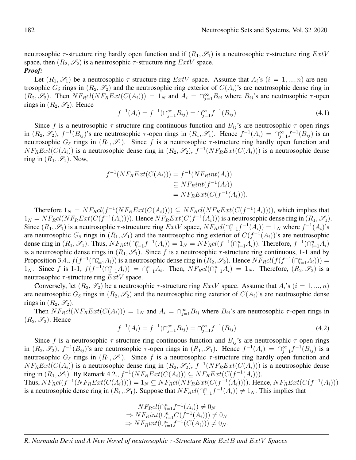neutrosophic  $\tau$ -structure ring hardly open function and if  $(R_1, \mathscr{S}_1)$  is a neutrosophic  $\tau$ -structure ring  $ExtV$ space, then  $(R_2, \mathscr{S}_2)$  is a neutrosophic  $\tau$ -structure ring  $ExtV$  space. *Proof:*

Let  $(R_1, \mathscr{S}_1)$  be a neutrosophic  $\tau$ -structure ring  $ExtV$  space. Assume that  $A_i$ 's  $(i = 1, ..., n)$  are neutrosophic  $G_{\delta}$  rings in  $(R_2, \mathscr{S}_2)$  and the neutrosophic ring exterior of  $C(A_i)$ 's are neutrosophic dense ring in  $(R_2, \mathscr{S}_2)$ . Then  $NF_Rcl(NF_RExt(C(A_i))) = 1_N$  and  $A_i = \bigcap_{j=1}^{\infty} B_{ij}$  where  $B_{ij}$ 's are neutrosophic  $\tau$ -open rings in  $(R_2, \mathscr{S}_2)$ . Hence

$$
f^{-1}(A_i) = f^{-1}(\bigcap_{j=1}^{\infty} B_{ij}) = \bigcap_{j=1}^{\infty} f^{-1}(B_{ij})
$$
\n(4.1)

Since f is a neutrosophic  $\tau$ -structure ring continuous function and  $B_{ij}$ 's are neutrosophic  $\tau$ -open rings in  $(R_2, \mathscr{S}_2)$ ,  $f^{-1}(B_{ij})$ 's are neutrosophic  $\tau$ -open rings in  $(R_1, \mathscr{S}_1)$ . Hence  $f^{-1}(A_i) = \bigcap_{j=1}^{\infty} f^{-1}(B_{ij})$  is an neutrosophic  $G_{\delta}$  rings in  $(R_1, \mathscr{S}_1)$ . Since f is a neutrosophic  $\tau$ -structure ring hardly open function and  $N F_R Ext(C(A_i))$  is a neutrosophic dense ring in  $(R_2, \mathscr{S}_2)$ ,  $f^{-1}(N F_R Ext(C(A_i)))$  is a neutrosophic dense ring in  $(R_1, \mathscr{S}_1)$ . Now,

$$
f^{-1}(NF_RExt(C(A_i))) = f^{-1}(NF_Rint(A_i))
$$
  
\n
$$
\subseteq NF_Rint(f^{-1}(A_i))
$$
  
\n
$$
= NF_RExt(C(f^{-1}(A_i))).
$$

Therefore  $1_N = N F_R cl(f^{-1}(N F_R Ext(C(A_i)))) \subseteq N F_R cl(N F_R Ext(C(f^{-1}(A_i))))$ , which implies that  $1_N = NF_Rcl(NF_RExt(C(f^{-1}(A_i))))$ . Hence  $NF_RExt(C(f^{-1}(A_i)))$  is a neutrosophic dense ring in  $(R_1, R_1)$ . Since  $(R_1, \mathscr{S}_1)$  is a neutrosophic  $\tau$ -strucuture ring  $ExtV$  space,  $NF_Rcl(\bigcap_{i=1}^n f^{-1}(A_i)) = 1_N$  where  $f^{-1}(A_i)$ 's are neutrosophic  $G_{\delta}$  rings in  $(R_1, \mathscr{S}_1)$  and the neutrosophic ring exterior of  $C(f^{-1}(A_i))$ 's are neutrosophic dense ring in  $(R_1, \mathscr{S}_1)$ . Thus,  $N F_R cl(\bigcap_{i=1}^n f^{-1}(A_i)) = 1_N = N F_R cl(f^{-1}(\bigcap_{i=1}^n A_i))$ . Therefore,  $f^{-1}(\bigcap_{i=1}^n A_i)$ is a neutrosophic dense rings in  $(R_1, \mathscr{S}_1)$ . Since f is a neutrosophic  $\tau$ -structure ring continuous, 1-1 and by Proposition 3.4.,  $f(f^{-1}(\bigcap_{i=1}^{n} A_i))$  is a neutrosophic dense ring in  $(R_2, \mathscr{S}_2)$ . Hence  $NF_R cl(f(f^{-1}(\bigcap_{i=1}^{n} A_i)))$  = 1<sub>N</sub>. Since f is 1-1,  $f(f^{-1}(\bigcap_{i=1}^{n} A_i)) = \bigcap_{i=1}^{n} A_i$ . Then,  $NF_Rcl(\bigcap_{i=1}^{n} A_i) = 1_N$ . Therefore,  $(R_2, \mathscr{S}_2)$  is a neutrosophic  $\tau$ -structure ring  $ExtV$  space.

Conversely, let  $(R_2, \mathscr{S}_2)$  be a neutrosophic  $\tau$ -structure ring  $ExtV$  space. Assume that  $A_i$ 's  $(i = 1, ..., n)$ are neutrosophic  $G_{\delta}$  rings in  $(R_2, \mathscr{S}_2)$  and the neutrosophic ring exterior of  $C(A_i)$ 's are neutrosophic dense rings in  $(R_2, \mathscr{S}_2)$ .

Then  $N F_R cl(N F_R Ext(C(A_i))) = 1_N$  and  $A_i = \bigcap_{j=1}^{\infty} B_{ij}$  where  $B_{ij}$ 's are neutrosophic  $\tau$ -open rings in  $(R_2, \mathscr{S}_2)$ . Hence

$$
f^{-1}(A_i) = f^{-1}(\bigcap_{j=1}^{\infty} B_{ij}) = \bigcap_{j=1}^{\infty} f^{-1}(B_{ij})
$$
\n(4.2)

Since f is a neutrosophic  $\tau$ -structure ring continuous function and  $B_{ij}$ 's are neutrosophic  $\tau$ -open rings in  $(R_2, \mathscr{S}_2)$ ,  $f^{-1}(B_{ij})$ 's are neutrosophic  $\tau$ -open rings in  $(R_1, \mathscr{S}_1)$ . Hence  $f^{-1}(A_i) = \bigcap_{j=1}^{\infty} f^{-1}(B_{ij})$  is a neutrosophic  $G_{\delta}$  rings in  $(R_1, \mathscr{S}_1)$ . Since f is a neutrosophic  $\tau$ -structure ring hardly open function and  $NF_RExt(C(A_i))$  is a neutrosophic dense ring in  $(R_2, \mathscr{S}_2)$ ,  $f^{-1}(NF_RExt(C(A_i)))$  is a neutrosophic dense ring in  $(R_1, \mathscr{S}_1)$ . By Remark 4.2.,  $f^{-1}(NF_RExt(C(A_i))) \subseteq NF_RExt(C(f^{-1}(A_i))).$ Thus,  $N F_R cl(f^{-1}(N F_R Ext(C(A_i)))) = 1_N \subseteq N F_R cl(N F_R Ext(C(f^{-1}(A_i))))$ . Hence,  $N F_R Ext(C(f^{-1}(A_i)))$ 

is a neutrosophic dense ring in  $(R_1, \mathscr{S}_1)$ . Suppose that  $NF_Rcl(\bigcap_{i=1}^n f^{-1}(A_i)) \neq 1_N$ . This implies that

 $\overline{N}F_Rcl(\bigcap_{i=1}^n f^{-1}(A_i))\neq 0_N$  $\Rightarrow NF_Rint(\cup_{i=1}^n C(f^{-1}(A_i))) \neq 0_N$  $\Rightarrow NF_Rint(\cup_{i=1}^n f^{-1}(C(A_i))) \neq 0_N.$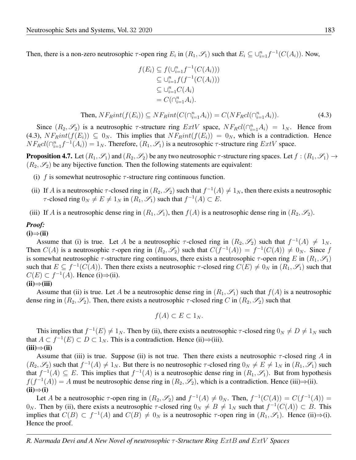Then, there is a non-zero neutrosophic  $\tau$ -open ring  $E_i$  in  $(R_1, \mathscr{S}_1)$  such that  $E_i \subseteq \cup_{i=1}^n f^{-1}(C(A_i))$ . Now,

$$
f(E_i) \subseteq f(\bigcup_{i=1}^n f^{-1}(C(A_i)))
$$
  
\n
$$
\subseteq \bigcup_{i=1}^n f(f^{-1}(C(A_i)))
$$
  
\n
$$
\subseteq \bigcup_{i=1}^n C(A_i)
$$
  
\n
$$
= C(\bigcap_{i=1}^n A_i).
$$

Then, 
$$
NF_Rint(f(E_i)) \subseteq NF_Rint(C(\bigcap_{i=1}^n A_i)) = C(NF_Rcl(\bigcap_{i=1}^n A_i)).
$$
 (4.3)

Since  $(R_2, \mathscr{S}_2)$  is a neutrosophic  $\tau$ -structure ring  $ExtV$  space,  $NF_Rcl(\bigcap_{i=1}^n A_i) = 1_N$ . Hence from (4.3),  $NF_Rint(f(E_i)) \subseteq 0_N$ . This implies that  $NF_Rint(f(E_i)) = 0_N$ , which is a contradiction. Hence  $NF_Rcl(\bigcap_{i=1}^n f^{-1}(A_i)) = 1_N$ . Therefore,  $(R_1, \mathscr{S}_1)$  is a neutrosophic  $\tau$ -structure ring  $ExtV$  space.

**Proposition 4.7.** Let  $(R_1, \mathscr{S}_1)$  and  $(R_2, \mathscr{S}_2)$  be any two neutrosophic  $\tau$ -structure ring spaces. Let  $f : (R_1, \mathscr{S}_1) \to$  $(R_2, \mathscr{S}_2)$  be any bijective function. Then the following statements are equivalent:

- (i) f is somewhat neutrosophic  $\tau$ -structure ring continuous function.
- (ii) If A is a neutrosophic  $\tau$ -closed ring in  $(R_2, \mathscr{S}_2)$  such that  $f^{-1}(A) \neq 1_N$ , then there exists a neutrosophic  $τ$ -closed ring 0<sub>N</sub>  $\neq$  E  $\neq$  1<sub>N</sub> in (R<sub>1</sub>,  $\mathcal{S}_1$ ) such that  $f^{-1}(A) \subset E$ .
- (iii) If A is a neutrosophic dense ring in  $(R_1, \mathscr{S}_1)$ , then  $f(A)$  is a neutrosophic dense ring in  $(R_2, \mathscr{S}_2)$ .

#### *Proof:*

#### $(i) \Rightarrow (ii)$

Assume that (i) is true. Let A be a neutrosophic  $\tau$ -closed ring in  $(R_2, \mathscr{S}_2)$  such that  $f^{-1}(A) \neq 1_N$ . Then  $C(A)$  is a neutrosophic  $\tau$ -open ring in  $(R_2, \mathscr{S}_2)$  such that  $C(f^{-1}(A)) = f^{-1}(C(A)) \neq 0_N$ . Since f is somewhat neutrosophic  $\tau$ -structure ring continuous, there exists a neutrosophic  $\tau$ -open ring E in  $(R_1, \mathscr{S}_1)$ such that  $E \subseteq f^{-1}(C(A))$ . Then there exists a neutrosophic  $\tau$ -closed ring  $C(E) \neq 0_N$  in  $(R_1, \mathscr{S}_1)$  such that  $C(E) \subset f^{-1}(A)$ . Hence (i)⇒(ii).  $(ii) \Rightarrow (iii)$ 

Assume that (ii) is true. Let A be a neutrosophic dense ring in  $(R_1, S_1)$  such that  $f(A)$  is a neutrosophic dense ring in  $(R_2, \mathscr{S}_2)$ . Then, there exists a neutrosophic  $\tau$ -closed ring C in  $(R_2, \mathscr{S}_2)$  such that

$$
f(A) \subset E \subset 1_N.
$$

This implies that  $f^{-1}(E) \neq 1_N$ . Then by (ii), there exists a neutrosophic  $\tau$ -closed ring  $0_N \neq D \neq 1_N$  such that  $A \subset f^{-1}(E) \subset D \subset 1_N$ . This is a contradiction. Hence (ii)⇒(iii).  $(iii) \Rightarrow (ii)$ 

Assume that (iii) is true. Suppose (ii) is not true. Then there exists a neutrosophic  $\tau$ -closed ring A in  $(R_2, \mathscr{S}_2)$  such that  $f^{-1}(A) \neq 1_N$ . But there is no neutrosophic  $\tau$ -closed ring  $0_N \neq E \neq 1_N$  in  $(R_1, \mathscr{S}_1)$  such that  $f^{-1}(A) \subseteq E$ . This implies that  $f^{-1}(A)$  is a neutrosophic dense ring in  $(R_1, \mathscr{S}_1)$ . But from hypothesis  $f(f^{-1}(A)) = A$  must be neutrosophic dense ring in  $(R_2, \mathscr{S}_2)$ , which is a contradiction. Hence (iii)⇒(ii).  $(ii) \Rightarrow (i)$ 

Let A be a neutrosophic  $\tau$ -open ring in  $(R_2, \mathscr{S}_2)$  and  $f^{-1}(A) \neq 0_N$ . Then,  $f^{-1}(C(A)) = C(f^{-1}(A))$  $0_N$ . Then by (ii), there exists a neutrosophic  $\tau$ -closed ring  $0_N \neq B \neq 1_N$  such that  $f^{-1}(C(A)) \subset B$ . This implies that  $C(B) \subset f^{-1}(A)$  and  $C(B) \neq 0_N$  is a neutrosophic  $\tau$ -open ring in  $(R_1, \mathscr{S}_1)$ . Hence (ii)⇒(i). Hence the proof.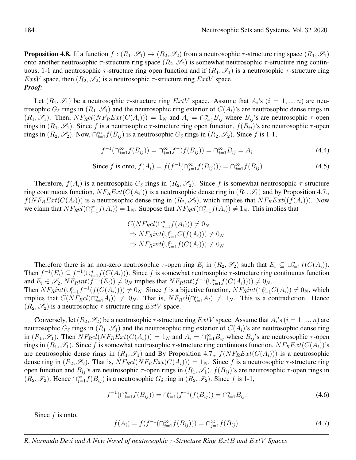**Proposition 4.8.** If a function  $f:(R_1,\mathscr{S}_1)\to(R_2,\mathscr{S}_2)$  from a neutrosophic  $\tau$ -structure ring space  $(R_1,\mathscr{S}_1)$ onto another neutrosophic  $\tau$ -structure ring space  $(R_2, \mathscr{S}_2)$  is somewhat neutrosophic  $\tau$ -structure ring continuous, 1-1 and neutrosophic  $\tau$ -structure ring open function and if  $(R_1, \mathscr{S}_1)$  is a neutrosophic  $\tau$ -structure ring  $ExtV$  space, then  $(R_2, \mathscr{S}_2)$  is a neutrosophic  $\tau$ -structure ring  $ExtV$  space. *Proof:*

Let  $(R_1, \mathscr{S}_1)$  be a neutrosophic  $\tau$ -structure ring  $ExtV$  space. Assume that  $A_i$ 's  $(i = 1, ..., n)$  are neutrosophic  $G_{\delta}$  rings in  $(R_1, \mathscr{S}_1)$  and the neutrosophic ring exterior of  $C(A_i)$ 's are neutrosophic dense rings in  $(R_1, \mathscr{S}_1)$ . Then,  $N F_R cl(N F_R Ext(C(A_i))) = 1_N$  and  $A_i = \bigcap_{j=1}^{\infty} B_{ij}$  where  $B_{ij}$ 's are neutrosophic  $\tau$ -open rings in  $(R_1, \mathscr{S}_1)$ . Since f is a neutrosophic  $\tau$ -structure ring open function,  $f(B_{ij})$ 's are neutrosophic  $\tau$ -open rings in  $(R_2, \mathscr{S}_2)$ . Now,  $\bigcap_{j=1}^{\infty} f(B_{ij})$  is a neutrosophic  $G_{\delta}$  rings in  $(R_2, \mathscr{S}_2)$ . Since f is 1-1,

$$
f^{-1}(\bigcap_{j=1}^{\infty} f(B_{ij})) = \bigcap_{j=1}^{\infty} f^{-}(f(B_{ij})) = \bigcap_{j=1}^{\infty} B_{ij} = A_{i}
$$
\n(4.4)

Since f is onto, 
$$
f(A_i) = f(f^{-1}(\bigcap_{j=1}^{\infty} f(B_{ij}))) = \bigcap_{j=1}^{\infty} f(B_{ij})
$$
 (4.5)

Therefore,  $f(A_i)$  is a neutrosophic  $G_\delta$  rings in  $(R_2, \mathscr{S}_2)$ . Since f is somewhat neutrosophic  $\tau$ -structure ring continuous function,  $N F_R Ext(C(A_i))$  is a neutrosophic dense ring in  $(R_1, \mathscr{S}_1)$  and by Proposition 4.7.,  $f(NF_RExt(C(A_i)))$  is a neutrosophic dense ring in  $(R_2, \mathscr{S}_2)$ , which implies that  $NF_RExt((f(A_i)))$ . Now we claim that  $N F_R cl(\bigcap_{i=1}^{\infty} f(A_i)) = 1_N$ . Suppose that  $N F_R cl(\bigcap_{i=1}^{n} f(A_i)) \neq 1_N$ . This implies that

$$
C(NF_Rcl(\bigcap_{i=1}^n f(A_i))) \neq 0_N
$$
  
\n
$$
\Rightarrow NF_Rint(\bigcup_{i=1}^n C(f(A_i))) \neq 0_N
$$
  
\n
$$
\Rightarrow NF_Rint(\bigcup_{i=1}^n f(C(A_i))) \neq 0_N.
$$

Therefore there is an non-zero neutrosophic  $\tau$ -open ring  $E_i$  in  $(R_2, \mathscr{S}_2)$  such that  $E_i \subseteq \bigcup_{i=1}^n f(C(A_i)).$ Then  $f^{-1}(E_i) \subseteq f^{-1}(\cup_{i=1}^n f(C(A_i)))$ . Since f is somewhat neutrosophic  $\tau$ -structure ring continuous function and  $E_i \in \mathscr{S}_2$ ,  $NF_Rint(f^{-1}(E_i)) \neq 0_N$  implies that  $NF_Rint(f^{-1}(\cup_{i=1}^n f(C(A_i)))) \neq 0_N$ .

Then  $NF_Rint(\cup_{i=1}^n f^{-1}(f(C(A_i)))) \neq 0_N$ . Since f is a bijective function,  $NF_Rint(\cap_{i=1}^n C(A_i)) \neq 0_N$ , which implies that  $C(NF_Rcl(\bigcap_{i=1}^n A_i)) \neq 0_N$ . That is,  $NF_Rcl(\bigcap_{i=1}^n A_i) \neq 1_N$ . This is a contradiction. Hence  $(R_2, \mathscr{S}_2)$  is a neutrosophic  $\tau$ -structure ring  $ExtV$  space.

Conversely, let  $(R_2, \mathscr{S}_2)$  be a neutrosophic  $\tau$ -structure ring  $ExtV$  space. Assume that  $A_i$ 's  $(i = 1, ..., n)$  are neutrosophic  $G_{\delta}$  rings in  $(R_1, \mathscr{S}_1)$  and the neutrosophic ring exterior of  $C(A_i)$ 's are neutrosophic dense ring in  $(R_1, \mathscr{S}_1)$ . Then  $NF_Rcl(NF_RExt(C(A_i))) = 1_N$  and  $A_i = \bigcap_{j=1}^{\infty} B_{ij}$  where  $B_{ij}$ 's are neutrosophic  $\tau$ -open rings in  $(R_1, \mathscr{S}_1)$ . Since f is somewhat neutrosophic  $\tau$ -structure ring continuous function,  $N F_R Ext(C(A_i))$ 's are neutrosophic dense rings in  $(R_1, \mathscr{S}_1)$  and By Proposition 4.7.,  $f(NF_RExt(C(A_i)))$  is a neutrosophic dense ring in  $(R_2, \mathscr{S}_2)$ . That is,  $N F_R cl(N F_R Ext(C(A_i))) = 1_N$ . Since f is a neutrosophic  $\tau$ -structure ring open function and  $B_{ij}$ 's are neutrosophic  $\tau$ -open rings in  $(R_1, \mathscr{S}_1)$ ,  $f(B_{ij})$ 's are neutrosophic  $\tau$ -open rings in  $(R_2, \mathscr{S}_2)$ . Hence  $\bigcap_{j=1}^{\infty} f(B_{ij})$  is a neutrosophic  $G_{\delta}$  ring in  $(R_2, \mathscr{S}_2)$ . Since f is 1-1,

$$
f^{-1}(\bigcap_{i=1}^{n} f(B_{ij})) = \bigcap_{i=1}^{n} (f^{-1}(f(B_{ij})) = \bigcap_{i=1}^{n} B_{ij}.
$$
\n(4.6)

Since  $f$  is onto,

$$
f(A_i) = f(f^{-1}(\cap_{j=1}^{\infty} f(B_{ij}))) = \cap_{j=1}^{\infty} f(B_{ij}).
$$
\n(4.7)

*R. Narmada Devi and A New Novel of neutrosophic* τ *-Structure Ring* ExtB *and* ExtV *Spaces*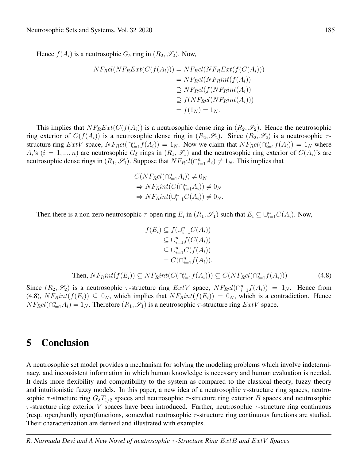Hence  $f(A_i)$  is a neutrosophic  $G_\delta$  ring in  $(R_2, \mathscr{S}_2)$ . Now,

$$
NF_{R}cl(NF_{R}Ext(C(f(A_{i}))) = NF_{R}cl(NF_{R}Ext(f(C(A_{i})))
$$
  
=  $NF_{R}cl(NF_{R}int(f(A_{i}))$   

$$
\supseteq NF_{R}cl(f(NF_{R}int(A_{i}))
$$
  

$$
\supseteq f(NF_{R}cl(NF_{R}int(A_{i})))
$$
  
=  $f(1_{N}) = 1_{N}.$ 

This implies that  $NF_RExt(C(f(A_i))$  is a neutrosophic dense ring in  $(R_2, \mathscr{S}_2)$ . Hence the neutrosophic ring exterior of  $C(f(A_i))$  is a neutrosophic dense ring in  $(R_2, \mathscr{S}_2)$ . Since  $(R_2, \mathscr{S}_2)$  is a neutrosophic  $\tau$ structure ring  $ExtV$  space,  $NF_R cl(\bigcap_{i=1}^n f(A_i)) = 1_N$ . Now we claim that  $NF_R cl(\bigcap_{i=1}^n f(A_i)) = 1_N$  where  $A_i$ 's  $(i = 1, ..., n)$  are neutrosophic  $G_\delta$  rings in  $(R_1, \mathscr{S}_1)$  and the neutrosophic ring exterior of  $C(A_i)$ 's are neutrosophic dense rings in  $(R_1, \mathscr{S}_1)$ . Suppose that  $N F_R cl(\bigcap_{i=1}^n A_i) \neq 1_N$ . This implies that

$$
C(NF_Rcl(\cap_{i=1}^n A_i)) \neq 0_N
$$
  
\n
$$
\Rightarrow NF_Rint(C(\cap_{i=1}^n A_i)) \neq 0_N
$$
  
\n
$$
\Rightarrow NF_Rint(\cup_{i=1}^n C(A_i)) \neq 0_N.
$$

Then there is a non-zero neutrosophic  $\tau$ -open ring  $E_i$  in  $(R_1, \mathscr{S}_1)$  such that  $E_i \subseteq \cup_{i=1}^n C(A_i)$ . Now,

$$
f(E_i) \subseteq f(\bigcup_{i=1}^n C(A_i))
$$
  
\n
$$
\subseteq \bigcup_{i=1}^n f(C(A_i))
$$
  
\n
$$
\subseteq \bigcup_{i=1}^n C(f(A_i))
$$
  
\n
$$
= C(\bigcap_{i=1}^n f(A_i)).
$$

Then, 
$$
NF_Rint(f(E_i)) \subseteq NF_Rint(C(\bigcap_{i=1}^n f(A_i))) \subseteq C(NF_Rcl(\bigcap_{i=1}^n f(A_i)))
$$
 (4.8)

Since  $(R_2, \mathscr{S}_2)$  is a neutrosophic  $\tau$ -structure ring  $ExtV$  space,  $NF_Rcl(\bigcap_{i=1}^n f(A_i)) = 1_N$ . Hence from (4.8),  $NF_Rint(f(E_i)) \subseteq 0_N$ , which implies that  $NF_Rint(f(E_i)) = 0_N$ , which is a contradiction. Hence  $N F_R cl(\bigcap_{i=1}^n A_i) = 1_N$ . Therefore  $(R_1, \mathscr{S}_1)$  is a neutrosophic  $\tau$ -structure ring  $ExtV$  space.

### 5 Conclusion

A neutrosophic set model provides a mechanism for solving the modeling problems which involve indeterminacy, and inconsistent information in which human knowledge is necessary and human evaluation is needed. It deals more flexibility and compatibility to the system as compared to the classical theory, fuzzy theory and intuitionistic fuzzy models. In this paper, a new idea of a neutrosophic  $\tau$ -structure ring spaces, neutrosophic  $\tau$ -structure ring  $G_{\delta}T_{1/2}$  spaces and neutrosophic  $\tau$ -structure ring exterior B spaces and neutrosophic  $\tau$ -structure ring exterior V spaces have been introduced. Further, neutrosophic  $\tau$ -structure ring continuous (resp. open, hardly open)functions, somewhat neutrosophic  $\tau$ -structure ring continuous functions are studied. Their characterization are derived and illustrated with examples.

*R. Narmada Devi and A New Novel of neutrosophic* τ *-Structure Ring* ExtB *and* ExtV *Spaces*